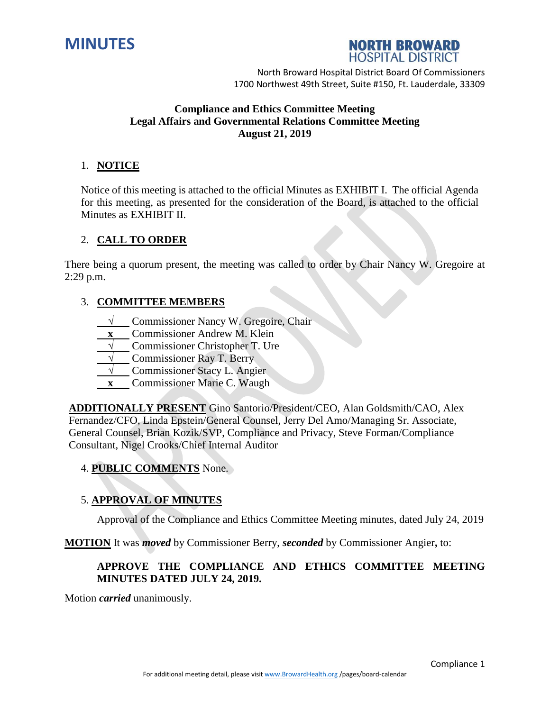



# **Compliance and Ethics Committee Meeting Legal Affairs and Governmental Relations Committee Meeting August 21, 2019**

# 1. **NOTICE**

Notice of this meeting is attached to the official Minutes as EXHIBIT I. The official Agenda for this meeting, as presented for the consideration of the Board, is attached to the official Minutes as EXHIBIT II.

## 2. **CALL TO ORDER**

There being a quorum present, the meeting was called to order by Chair Nancy W. Gregoire at 2:29 p.m.

## 3. **COMMITTEE MEMBERS**

- **√** Commissioner Nancy W. Gregoire, Chair
- **x** Commissioner Andrew M. Klein
- **√** Commissioner Christopher T. Ure
- **√** Commissioner Ray T. Berry
- **√** Commissioner Stacy L. Angier
- **x** Commissioner Marie C. Waugh

**ADDITIONALLY PRESENT** Gino Santorio/President/CEO, Alan Goldsmith/CAO, Alex Fernandez/CFO, Linda Epstein/General Counsel, Jerry Del Amo/Managing Sr. Associate, General Counsel, Brian Kozik/SVP, Compliance and Privacy, Steve Forman/Compliance Consultant, Nigel Crooks/Chief Internal Auditor

## 4. **PUBLIC COMMENTS** None.

## 5. **APPROVAL OF MINUTES**

Approval of the Compliance and Ethics Committee Meeting minutes, dated July 24, 2019

**MOTION** It was *moved* by Commissioner Berry, *seconded* by Commissioner Angier**,** to:

### **APPROVE THE COMPLIANCE AND ETHICS COMMITTEE MEETING MINUTES DATED JULY 24, 2019.**

Motion *carried* unanimously.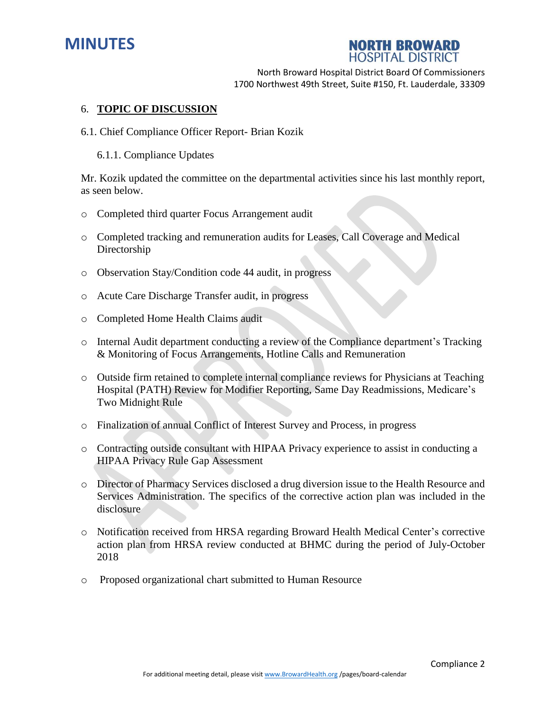



#### 6. **TOPIC OF DISCUSSION**

- 6.1. Chief Compliance Officer Report- Brian Kozik
	- 6.1.1. Compliance Updates

Mr. Kozik updated the committee on the departmental activities since his last monthly report, as seen below.

- o Completed third quarter Focus Arrangement audit
- o Completed tracking and remuneration audits for Leases, Call Coverage and Medical Directorship
- o Observation Stay/Condition code 44 audit, in progress
- o Acute Care Discharge Transfer audit, in progress
- o Completed Home Health Claims audit
- o Internal Audit department conducting a review of the Compliance department's Tracking & Monitoring of Focus Arrangements, Hotline Calls and Remuneration
- o Outside firm retained to complete internal compliance reviews for Physicians at Teaching Hospital (PATH) Review for Modifier Reporting, Same Day Readmissions, Medicare's Two Midnight Rule
- o Finalization of annual Conflict of Interest Survey and Process, in progress
- o Contracting outside consultant with HIPAA Privacy experience to assist in conducting a HIPAA Privacy Rule Gap Assessment
- o Director of Pharmacy Services disclosed a drug diversion issue to the Health Resource and Services Administration. The specifics of the corrective action plan was included in the disclosure
- o Notification received from HRSA regarding Broward Health Medical Center's corrective action plan from HRSA review conducted at BHMC during the period of July-October 2018
- o Proposed organizational chart submitted to Human Resource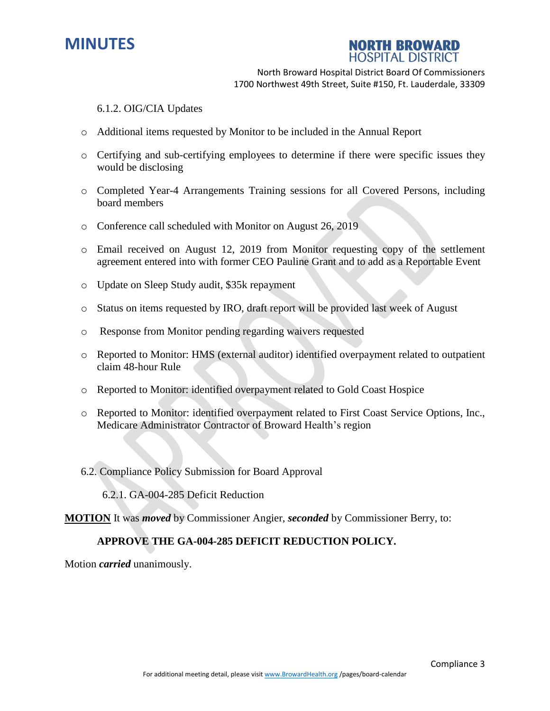



#### 6.1.2. OIG/CIA Updates

- o Additional items requested by Monitor to be included in the Annual Report
- o Certifying and sub-certifying employees to determine if there were specific issues they would be disclosing
- o Completed Year-4 Arrangements Training sessions for all Covered Persons, including board members
- o Conference call scheduled with Monitor on August 26, 2019
- o Email received on August 12, 2019 from Monitor requesting copy of the settlement agreement entered into with former CEO Pauline Grant and to add as a Reportable Event
- o Update on Sleep Study audit, \$35k repayment
- o Status on items requested by IRO, draft report will be provided last week of August
- o Response from Monitor pending regarding waivers requested
- o Reported to Monitor: HMS (external auditor) identified overpayment related to outpatient claim 48-hour Rule
- o Reported to Monitor: identified overpayment related to Gold Coast Hospice
- o Reported to Monitor: identified overpayment related to First Coast Service Options, Inc., Medicare Administrator Contractor of Broward Health's region
- 6.2. Compliance Policy Submission for Board Approval

6.2.1. GA-004-285 Deficit Reduction

**MOTION** It was *moved* by Commissioner Angier, *seconded* by Commissioner Berry, to:

### **APPROVE THE GA-004-285 DEFICIT REDUCTION POLICY.**

Motion *carried* unanimously.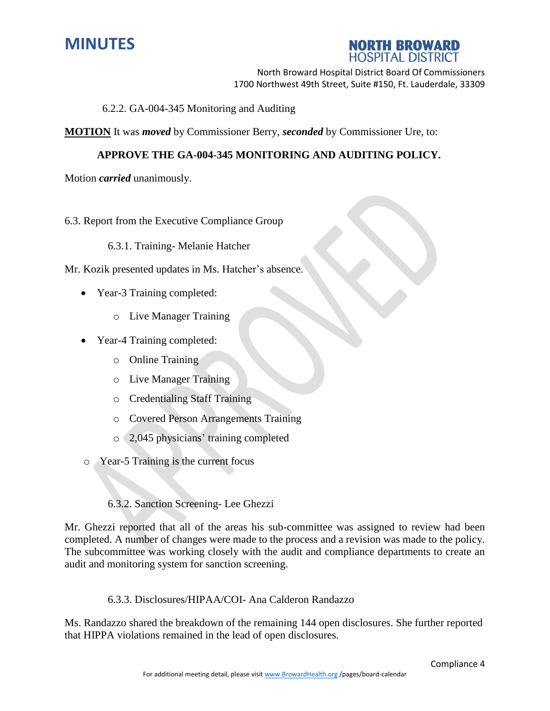



6.2.2. GA-004-345 Monitoring and Auditing

**MOTION** It was *moved* by Commissioner Berry, *seconded* by Commissioner Ure, to:

### **APPROVE THE GA-004-345 MONITORING AND AUDITING POLICY.**

Motion *carried* unanimously.

#### 6.3. Report from the Executive Compliance Group

6.3.1. Training- Melanie Hatcher

Mr. Kozik presented updates in Ms. Hatcher's absence.

- Year-3 Training completed:
	- o Live Manager Training
- Year-4 Training completed:
	- o Online Training
	- o Live Manager Training
	- o Credentialing Staff Training
	- o Covered Person Arrangements Training
	- o 2,045 physicians' training completed
- o Year-5 Training is the current focus

6.3.2. Sanction Screening- Lee Ghezzi

Mr. Ghezzi reported that all of the areas his sub-committee was assigned to review had been completed. A number of changes were made to the process and a revision was made to the policy. The subcommittee was working closely with the audit and compliance departments to create an audit and monitoring system for sanction screening.

6.3.3. Disclosures/HIPAA/COI- Ana Calderon Randazzo

Ms. Randazzo shared the breakdown of the remaining 144 open disclosures. She further reported that HIPPA violations remained in the lead of open disclosures.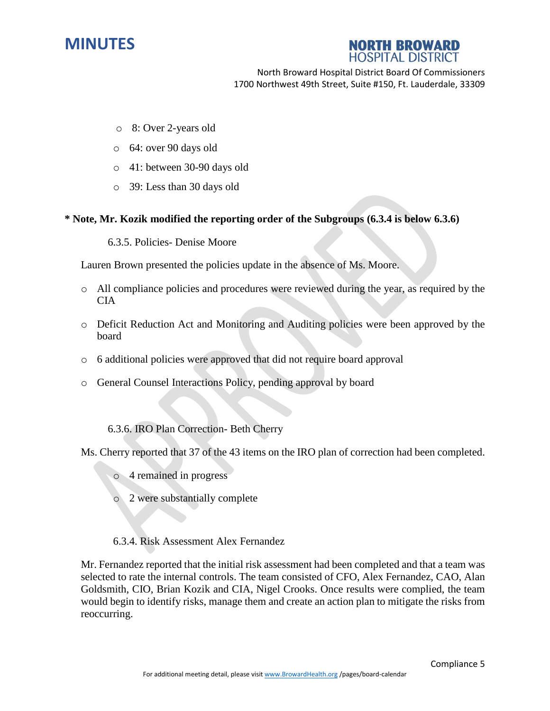

# **NORTH BROWARD HOSPITAL DISTRICT**

North Broward Hospital District Board Of Commissioners 1700 Northwest 49th Street, Suite #150, Ft. Lauderdale, 33309

- o 8: Over 2-years old
- o 64: over 90 days old
- o 41: between 30-90 days old
- o 39: Less than 30 days old

### **\* Note, Mr. Kozik modified the reporting order of the Subgroups (6.3.4 is below 6.3.6)**

6.3.5. Policies- Denise Moore

Lauren Brown presented the policies update in the absence of Ms. Moore.

- o All compliance policies and procedures were reviewed during the year, as required by the CIA
- o Deficit Reduction Act and Monitoring and Auditing policies were been approved by the board
- o 6 additional policies were approved that did not require board approval
- o General Counsel Interactions Policy, pending approval by board
	- 6.3.6. IRO Plan Correction- Beth Cherry

Ms. Cherry reported that 37 of the 43 items on the IRO plan of correction had been completed.

- o 4 remained in progress
- o 2 were substantially complete
- 6.3.4. Risk Assessment Alex Fernandez

Mr. Fernandez reported that the initial risk assessment had been completed and that a team was selected to rate the internal controls. The team consisted of CFO, Alex Fernandez, CAO, Alan Goldsmith, CIO, Brian Kozik and CIA, Nigel Crooks. Once results were complied, the team would begin to identify risks, manage them and create an action plan to mitigate the risks from reoccurring.